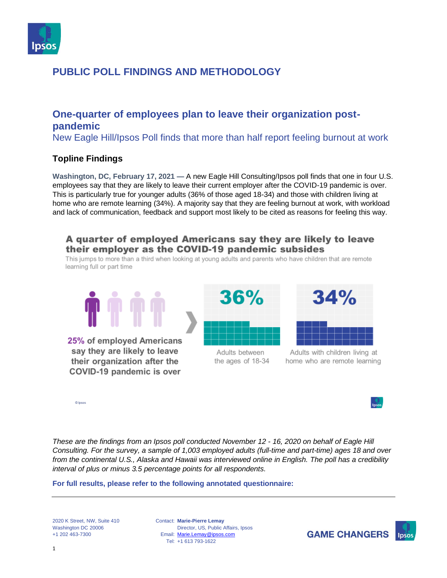

## **One-quarter of employees plan to leave their organization postpandemic**

New Eagle Hill/Ipsos Poll finds that more than half report feeling burnout at work

## **Topline Findings**

**Washington, DC, February 17, 2021 —** A new Eagle Hill Consulting/Ipsos poll finds that one in four U.S. employees say that they are likely to leave their current employer after the COVID-19 pandemic is over. This is particularly true for younger adults (36% of those aged 18-34) and those with children living at home who are remote learning (34%). A majority say that they are feeling burnout at work, with workload and lack of communication, feedback and support most likely to be cited as reasons for feeling this way.

## A quarter of employed Americans say they are likely to leave their employer as the COVID-19 pandemic subsides

This jumps to more than a third when looking at young adults and parents who have children that are remote learning full or part time





Adults with children living at home who are remote learning

*These are the findings from an Ipsos poll conducted November 12 - 16, 2020 on behalf of Eagle Hill Consulting. For the survey, a sample of 1,003 employed adults (full-time and part-time) ages 18 and over from the continental U.S., Alaska and Hawaii was interviewed online in English. The poll has a credibility interval of plus or minus 3.5 percentage points for all respondents.*

#### **For full results, please refer to the following annotated questionnaire:**

2020 K Street, NW, Suite 410 Washington DC 20006 +1 202 463-7300

© Ipsos

Contact: **Marie-Pierre Lemay** Email: [Marie.Lemay@ipsos.com](mailto:Marie.Lemay@ipsos.com) Tel: +1 613 793-1622 Director, US, Public Affairs, Ipsos

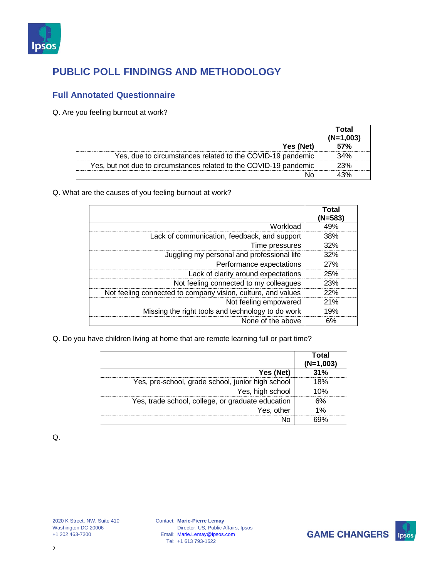

## **Full Annotated Questionnaire**

#### Q. Are you feeling burnout at work?

|                                                                    | Total<br>(N=1.003 |
|--------------------------------------------------------------------|-------------------|
| Yes (Net)                                                          | 57%               |
| Yes, due to circumstances related to the COVID-19 pandemic         | 34%               |
| Yes, but not due to circumstances related to the COVID-19 pandemic | 23%               |
|                                                                    |                   |

Q. What are the causes of you feeling burnout at work?

|                                                              | Total<br>(N=583 |
|--------------------------------------------------------------|-----------------|
| Workload                                                     |                 |
| Lack of communication, feedback, and support                 | 38%             |
| Time pressures                                               | 32%             |
| Juggling my personal and professional life                   | 32%             |
| Performance expectations                                     | 27%             |
| Lack of clarity around expectations                          | 25%             |
| Not feeling connected to my colleagues                       | 23%             |
| Not feeling connected to company vision, culture, and values | 22%             |
| Not feeling empowered                                        | 21%             |
| Missing the right tools and technology to do work            | 19%             |
| None of the above                                            |                 |

Q. Do you have children living at home that are remote learning full or part time?

|                                                   | Total<br>(N=1.003 |
|---------------------------------------------------|-------------------|
| Yes (Net)                                         | ₹1%               |
| Yes, pre-school, grade school, junior high school | 8%                |
| Yes, high school                                  | በ‰                |
| Yes, trade school, college, or graduate education |                   |
| Yes, other                                        |                   |
|                                                   |                   |

Q.



Contact: **Marie-Pierre Lemay** Email: [Marie.Lemay@ipsos.com](mailto:Marie.Lemay@ipsos.com) Tel: +1 613 793-1622 Director, US, Public Affairs, Ipsos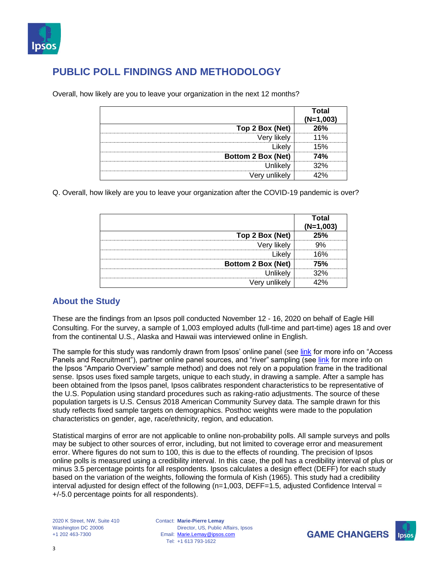

|                           | <b>otal</b><br>(N=1.∖ |
|---------------------------|-----------------------|
| Top 2 Box (Net)           |                       |
| likelv<br>verv            |                       |
|                           |                       |
| <b>Bottom 2 Box (Net)</b> | 74%                   |
| I Inlikely                |                       |
|                           |                       |

Overall, how likely are you to leave your organization in the next 12 months?

Q. Overall, how likely are you to leave your organization after the COVID-19 pandemic is over?

|                    | ⊺otal |
|--------------------|-------|
| Top 2 Box (Net)    |       |
| /en                |       |
|                    | 6%    |
| Bottom 2 Box (Net) |       |
|                    |       |
|                    |       |

## **About the Study**

These are the findings from an Ipsos poll conducted November 12 - 16, 2020 on behalf of Eagle Hill Consulting. For the survey, a sample of 1,003 employed adults (full-time and part-time) ages 18 and over from the continental U.S., Alaska and Hawaii was interviewed online in English.

The sample for this study was randomly drawn from Ipsos' online panel (see [link](https://www.ipsos.com/sites/default/files/2017-03/Ipsos_IIS_NAAccessPanelsRecruitment_.pdf) for more info on "Access Panels and Recruitment"), partner online panel sources, and "river" sampling (see [link](https://www.ipsos.com/sites/default/files/2017-03/Ipsos_IIS_AmparioOverview.pdf) for more info on the Ipsos "Ampario Overview" sample method) and does not rely on a population frame in the traditional sense. Ipsos uses fixed sample targets, unique to each study, in drawing a sample. After a sample has been obtained from the Ipsos panel, Ipsos calibrates respondent characteristics to be representative of the U.S. Population using standard procedures such as raking-ratio adjustments. The source of these population targets is U.S. Census 2018 American Community Survey data. The sample drawn for this study reflects fixed sample targets on demographics. Posthoc weights were made to the population characteristics on gender, age, race/ethnicity, region, and education.

Statistical margins of error are not applicable to online non-probability polls. All sample surveys and polls may be subject to other sources of error, including, but not limited to coverage error and measurement error. Where figures do not sum to 100, this is due to the effects of rounding. The precision of Ipsos online polls is measured using a credibility interval. In this case, the poll has a credibility interval of plus or minus 3.5 percentage points for all respondents. Ipsos calculates a design effect (DEFF) for each study based on the variation of the weights, following the formula of Kish (1965). This study had a credibility interval adjusted for design effect of the following ( $n=1,003$ , DEFF=1.5, adjusted Confidence Interval = +/-5.0 percentage points for all respondents).

Contact: **Marie-Pierre Lemay** Email: [Marie.Lemay@ipsos.com](mailto:Marie.Lemay@ipsos.com) Tel: +1 613 793-1622 Director, US, Public Affairs, Ipsos